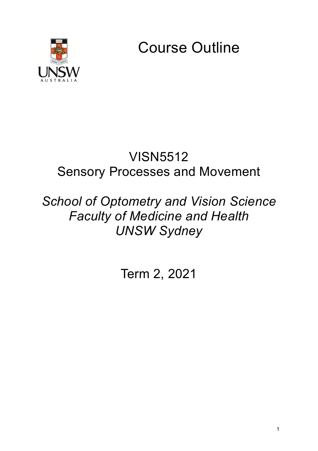

Course Outline

## VISN5512 Sensory Processes and Movement

# *School of Optometry and Vision Science Faculty of Medicine and Health UNSW Sydney*

Term 2, 2021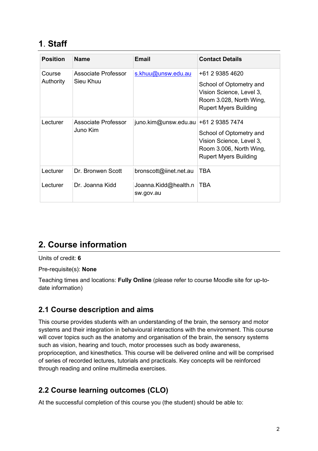### **1**. **Staff**

| <b>Position</b> | <b>Name</b>                      | <b>Email</b>                      | <b>Contact Details</b>                                                                                         |
|-----------------|----------------------------------|-----------------------------------|----------------------------------------------------------------------------------------------------------------|
| Course          | Associate Professor<br>Sieu Khuu | s.khuu@unsw.edu.au                | +61 2 9385 4620                                                                                                |
| Authority       |                                  |                                   | School of Optometry and<br>Vision Science, Level 3,<br>Room 3.028, North Wing,<br><b>Rupert Myers Building</b> |
| Lecturer        | Associate Professor<br>Juno Kim  | juno.kim@unsw.edu.au              | +61 2 9385 7474                                                                                                |
|                 |                                  |                                   | School of Optometry and<br>Vision Science, Level 3,<br>Room 3.006, North Wing,<br><b>Rupert Myers Building</b> |
| Lecturer        | Dr. Bronwen Scott                | bronscott@iinet.net.au            | <b>TBA</b>                                                                                                     |
| Lecturer        | Dr. Joanna Kidd                  | Joanna.Kidd@health.n<br>sw.gov.au | <b>TBA</b>                                                                                                     |

## **2. Course information**

Units of credit: **6**

Pre-requisite(s): **None**

Teaching times and locations: **Fully Online** (please refer to course Moodle site for up-todate information)

#### **2.1 Course description and aims**

This course provides students with an understanding of the brain, the sensory and motor systems and their integration in behavioural interactions with the environment. This course will cover topics such as the anatomy and organisation of the brain, the sensory systems such as vision, hearing and touch, motor processes such as body awareness, proprioception, and kinesthetics. This course will be delivered online and will be comprised of series of recorded lectures, tutorials and practicals. Key concepts will be reinforced through reading and online multimedia exercises.

#### **2.2 Course learning outcomes (CLO)**

At the successful completion of this course you (the student) should be able to: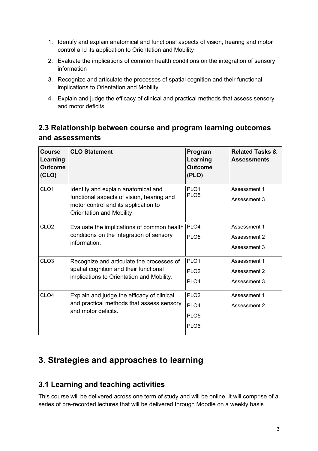- 1. Identify and explain anatomical and functional aspects of vision, hearing and motor control and its application to Orientation and Mobility
- 2. Evaluate the implications of common health conditions on the integration of sensory information
- 3. Recognize and articulate the processes of spatial cognition and their functional implications to Orientation and Mobility
- 4. Explain and judge the efficacy of clinical and practical methods that assess sensory and motor deficits

#### **2.3 Relationship between course and program learning outcomes and assessments**

| Course<br>Learning<br><b>Outcome</b><br>(CLO) | <b>CLO Statement</b>                                                                                                                                  | Program<br>Learning<br><b>Outcome</b><br>(PLO)                               | <b>Related Tasks &amp;</b><br><b>Assessments</b> |
|-----------------------------------------------|-------------------------------------------------------------------------------------------------------------------------------------------------------|------------------------------------------------------------------------------|--------------------------------------------------|
| CLO <sub>1</sub>                              | Identify and explain anatomical and<br>functional aspects of vision, hearing and<br>motor control and its application to<br>Orientation and Mobility. | PLO <sub>1</sub><br>PLO <sub>5</sub>                                         | Assessment 1<br>Assessment 3                     |
| CLO <sub>2</sub>                              | Evaluate the implications of common health<br>conditions on the integration of sensory<br>information.                                                | PLO <sub>4</sub><br>PLO <sub>5</sub>                                         | Assessment 1<br>Assessment 2<br>Assessment 3     |
| CLO <sub>3</sub>                              | Recognize and articulate the processes of<br>spatial cognition and their functional<br>implications to Orientation and Mobility.                      | PLO <sub>1</sub><br>PLO <sub>2</sub><br>PLO <sub>4</sub>                     | Assessment 1<br>Assessment 2<br>Assessment 3     |
| CLO <sub>4</sub>                              | Explain and judge the efficacy of clinical<br>and practical methods that assess sensory<br>and motor deficits.                                        | PLO <sub>2</sub><br>PLO <sub>4</sub><br>PLO <sub>5</sub><br>PLO <sub>6</sub> | Assessment 1<br>Assessment 2                     |

### **3. Strategies and approaches to learning**

#### **3.1 Learning and teaching activities**

This course will be delivered across one term of study and will be online. It will comprise of a series of pre-recorded lectures that will be delivered through Moodle on a weekly basis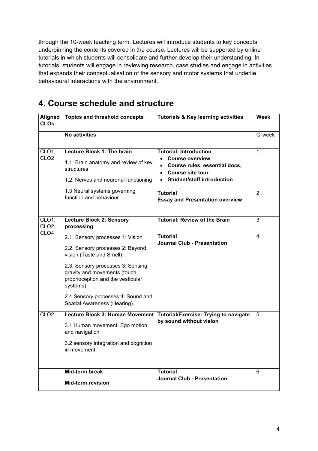through the 10-week teaching term. Lectures will introduce students to key concepts underpinning the contents covered in the course. Lectures will be supported by online tutorials in which students will consolidate and further develop their understanding. In tutorials, students will engage in reviewing research, case studies and engage in activities that expands their conceptualisation of the sensory and motor systems that underlie behavioural interactions with the environment.

| <b>Aligned</b><br><b>CLOs</b> | <b>Topics and threshold concepts</b>                                                                                     | <b>Tutorials &amp; Key learning activities</b>                                                                                                       | Week           |
|-------------------------------|--------------------------------------------------------------------------------------------------------------------------|------------------------------------------------------------------------------------------------------------------------------------------------------|----------------|
|                               | No activities                                                                                                            |                                                                                                                                                      | O-week         |
| CLO1,<br>CLO <sub>2</sub>     | Lecture Block 1: The brain<br>1.1. Brain anatomy and review of key<br>structures<br>1.2. Nerves and neuronal functioning | <b>Tutorial: Introduction</b><br>• Course overview<br>Course rules, essential docs,<br>• Course site tour<br>Student/staff introduction<br>$\bullet$ | 1              |
|                               | 1.3 Neural systems governing<br>function and behaviour                                                                   | <b>Tutorial</b><br><b>Essay and Presentation overview</b>                                                                                            | $\overline{2}$ |
| CLO1,<br>CLO <sub>2</sub>     | <b>Lecture Block 2: Sensory</b><br>processing                                                                            | <b>Tutorial: Review of the Brain</b>                                                                                                                 | 3              |
| CLO <sub>4</sub>              | 2.1. Sensory processes 1: Vision                                                                                         | Tutorial<br><b>Journal Club - Presentation</b>                                                                                                       | 4              |
|                               | 2.2. Sensory processes 2: Beyond<br>vision (Taste and Smell)                                                             |                                                                                                                                                      |                |
|                               | 2.3. Sensory processes 3: Sensing<br>gravity and movements (touch,<br>proprioception and the vestibular<br>systems).     |                                                                                                                                                      |                |
|                               | 2.4 Sensory processes 4: Sound and<br>Spatial Awareness (Hearing).                                                       |                                                                                                                                                      |                |
| CLO <sub>2</sub>              | <b>Lecture Block 3: Human Movement</b>                                                                                   | <b>Tutorial/Exercise: Trying to navigate</b>                                                                                                         | 5              |
|                               | 3.1 Human movement: Ego motion<br>and navigation                                                                         | by sound without vision                                                                                                                              |                |
|                               | 3.2 sensory integration and cognition<br>in movement                                                                     |                                                                                                                                                      |                |
|                               | <b>Mid-term break</b>                                                                                                    | Tutorial                                                                                                                                             | 6              |
|                               | <b>Mid-term revision</b>                                                                                                 | Journal Club - Presentation                                                                                                                          |                |

## **4. Course schedule and structure**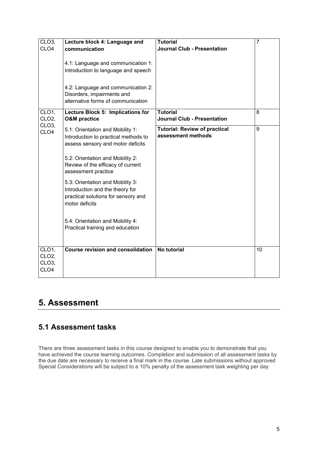| CLO <sub>3</sub>                                          | Lecture block 4: Language and                                                                                                                     | <b>Tutorial</b>                                            | 7  |
|-----------------------------------------------------------|---------------------------------------------------------------------------------------------------------------------------------------------------|------------------------------------------------------------|----|
| CLO <sub>4</sub>                                          | communication                                                                                                                                     | <b>Journal Club - Presentation</b>                         |    |
|                                                           | 4.1: Language and communication 1:<br>Introduction to language and speech<br>4.2: Language and communication 2:                                   |                                                            |    |
|                                                           | Disorders, impairments and<br>alternative forms of communication                                                                                  |                                                            |    |
|                                                           |                                                                                                                                                   |                                                            |    |
| CLO1,<br>CLO <sub>2</sub><br>CLO <sub>3</sub> ,           | Lecture Block 5: Implications for<br><b>O&amp;M</b> practice                                                                                      | <b>Tutorial</b><br><b>Journal Club - Presentation</b>      | 8  |
| CLO <sub>4</sub>                                          | 5.1: Orientation and Mobility 1:<br>Introduction to practical methods to<br>assess sensory and motor deficits<br>5.2: Orientation and Mobility 2: | <b>Tutorial: Review of practical</b><br>assessment methods | 9  |
|                                                           | Review of the efficacy of current<br>assessment practice                                                                                          |                                                            |    |
|                                                           | 5.3: Orientation and Mobility 3:<br>Introduction and the theory for<br>practical solutions for sensory and<br>motor deficits                      |                                                            |    |
|                                                           | 5.4: Orientation and Mobility 4:<br>Practical training and education                                                                              |                                                            |    |
| CLO1,<br>CLO <sub>2</sub> ,<br>CLO <sub>3</sub> ,<br>CLO4 | <b>Course revision and consolidation</b>                                                                                                          | <b>No tutorial</b>                                         | 10 |

### **5. Assessment**

#### **5.1 Assessment tasks**

There are three assessment tasks in this course designed to enable you to demonstrate that you have achieved the course learning outcomes. Completion and submission of all assessment tasks by the due date are necessary to receive a final mark in the course. Late submissions without approved Special Considerations will be subject to a 10% penalty of the assessment task weighting per day.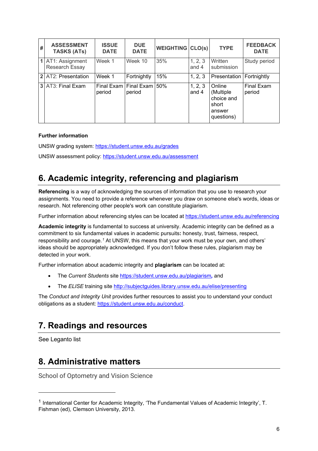| # | <b>ASSESSMENT</b><br><b>TASKS (ATs)</b> | <b>ISSUE</b><br><b>DATE</b> | <b>DUE</b><br><b>DATE</b> | <b>WEIGHTING CLO(s)</b> |                    | <b>TYPE</b>                                                        | <b>FEEDBACK</b><br><b>DATE</b> |
|---|-----------------------------------------|-----------------------------|---------------------------|-------------------------|--------------------|--------------------------------------------------------------------|--------------------------------|
|   | 1 AT1: Assignment<br>Research Essay     | Week 1                      | Week 10                   | 35%                     | 1, 2, 3<br>and $4$ | Written<br>submission                                              | Study period                   |
|   | 2 AT2: Presentation                     | Week 1                      | Fortnightly               | 15%                     | 1, 2, 3            | Presentation   Fortnightly                                         |                                |
|   | 3 AT3: Final Exam                       | <b>Final Exam</b><br>period | Final Exam<br>period      | 50%                     | 1, 2, 3<br>and 4   | Online<br>(Multiple<br>choice and<br>short<br>answer<br>questions) | <b>Final Exam</b><br>period    |

#### **Further information**

UNSW grading system:<https://student.unsw.edu.au/grades>

UNSW assessment policy:<https://student.unsw.edu.au/assessment>

## **6. Academic integrity, referencing and plagiarism**

**Referencing** is a way of acknowledging the sources of information that you use to research your assignments. You need to provide a reference whenever you draw on someone else's words, ideas or research. Not referencing other people's work can constitute plagiarism.

Further information about referencing styles can be located at <https://student.unsw.edu.au/referencing>

**Academic integrity** is fundamental to success at university. Academic integrity can be defined as a commitment to six fundamental values in academic pursuits**:** honesty, trust, fairness, respect, responsibility and courage.*[1](#page-5-0)* At UNSW, this means that your work must be your own, and others' ideas should be appropriately acknowledged. If you don't follow these rules, plagiarism may be detected in your work.

Further information about academic integrity and **plagiarism** can be located at:

- The *Current Students* site <https://student.unsw.edu.au/plagiarism>*,* and
- The *ELISE* training site <http://subjectguides.library.unsw.edu.au/elise/presenting>

The *Conduct and Integrity Unit* provides further resources to assist you to understand your conduct obligations as a student: [https://student.unsw.edu.au/conduct.](https://student.unsw.edu.au/conduct)

### **7. Readings and resources**

See Leganto list

### **8. Administrative matters**

School of Optometry and Vision Science

<span id="page-5-0"></span><sup>1</sup> International Center for Academic Integrity, 'The Fundamental Values of Academic Integrity', T. Fishman (ed), Clemson University, 2013.